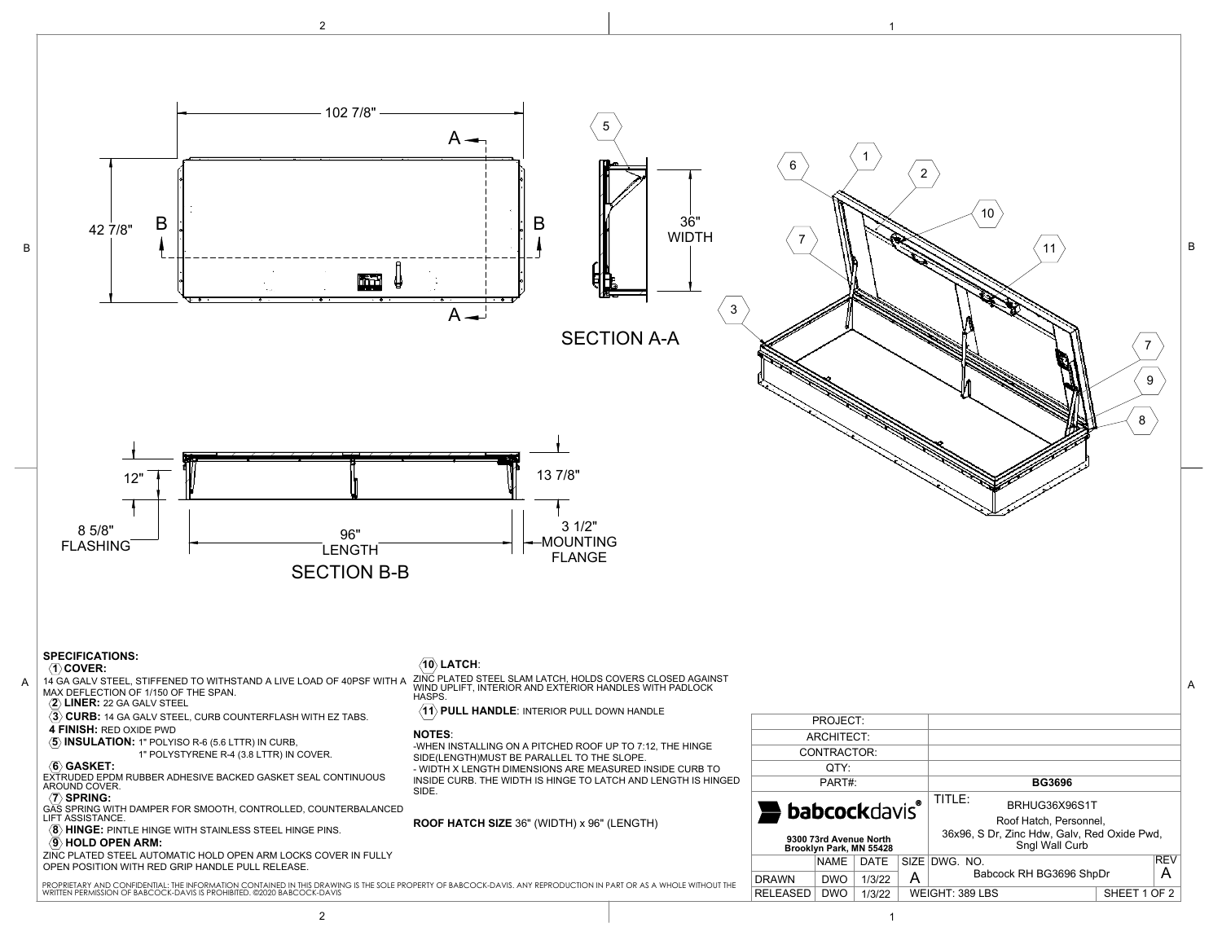